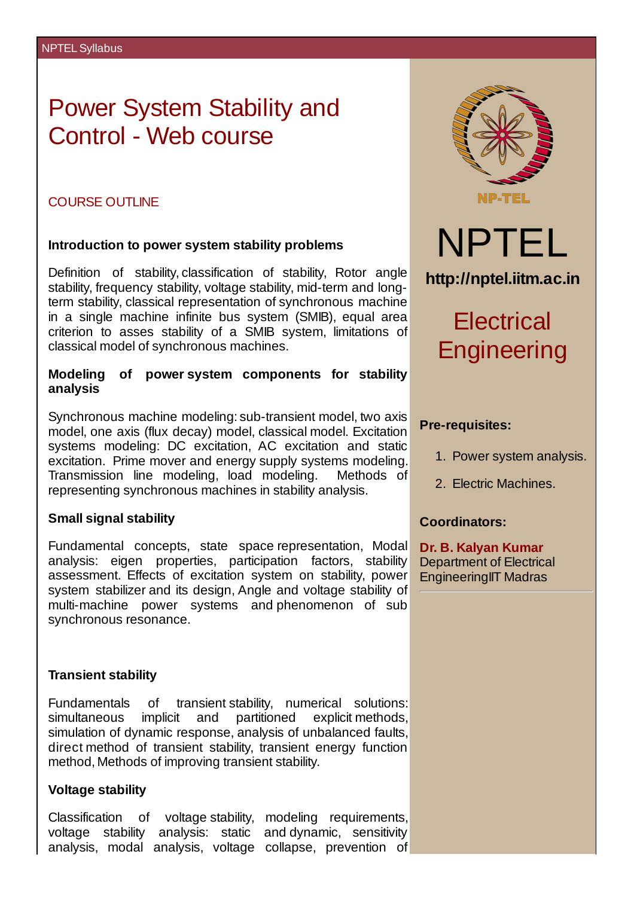# Power System Stability and Control - Web course

#### COURSE OUTLINE

#### **Introduction to power system stability problems**

Definition of stability, classification of stability, Rotor angle stability, frequency stability, voltage stability, mid-term and longterm stability, classical representation of synchronous machine in a single machine infinite bus system (SMIB), equal area criterion to asses stability of a SMIB system, limitations of classical model of synchronous machines.

#### **Modeling of power system components for stability analysis**

Synchronous machine modeling: sub-transient model, two axis model, one axis (flux decay) model, classical model. Excitation systems modeling: DC excitation, AC excitation and static excitation. Prime mover and energy supply systems modeling. Transmission line modeling, load modeling. Methods of representing synchronous machines in stability analysis.

#### **Small signal stability**

Fundamental concepts, state space representation, Modal analysis: eigen properties, participation factors, stability assessment. Effects of excitation system on stability, power system stabilizer and its design, Angle and voltage stability of multi-machine power systems and phenomenon of sub synchronous resonance.

#### **Transient stability**

Fundamentals of transient stability, numerical solutions: simultaneous implicit and partitioned explicit methods, simulation of dynamic response, analysis of unbalanced faults, direct method of transient stability, transient energy function method, Methods of improving transient stability.

#### **Voltage stability**

Classification of voltage stability, modeling requirements, voltage stability analysis: static and dynamic, sensitivity analysis, modal analysis, voltage collapse, prevention of



#### **Pre-requisites:**

- 1. Power system analysis.
- 2. Electric Machines.

#### **Coordinators:**

**Dr. B. Kalyan Kumar** Department of Electrical EngineeringIIT Madras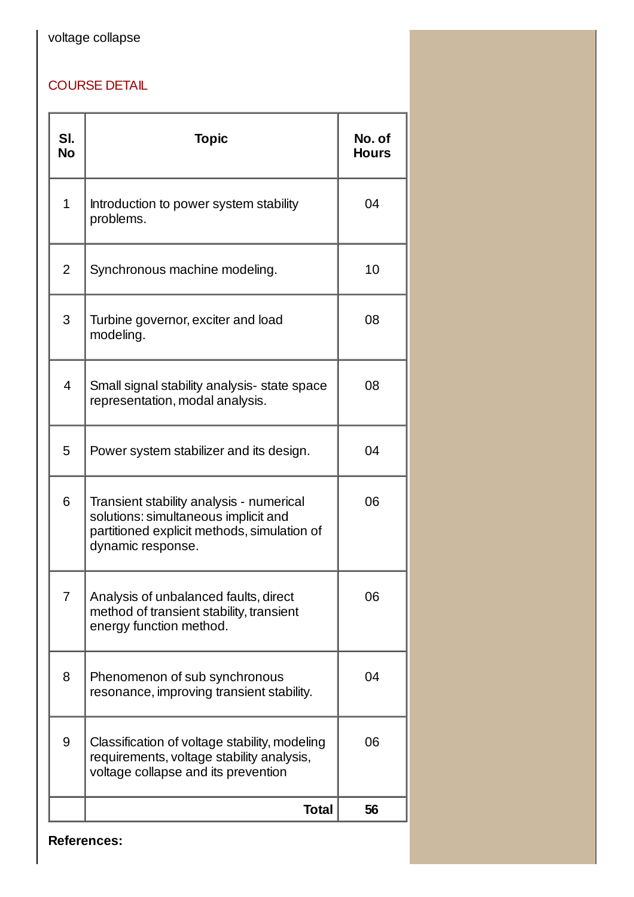## voltage collapse

### COURSE DETAIL

| SI.<br><b>No</b> | <b>Topic</b>                                                                                                                                         | No. of<br><b>Hours</b> |
|------------------|------------------------------------------------------------------------------------------------------------------------------------------------------|------------------------|
| $\mathbf{1}$     | Introduction to power system stability<br>problems.                                                                                                  | 04                     |
| 2                | Synchronous machine modeling.                                                                                                                        | 10                     |
| 3                | Turbine governor, exciter and load<br>modeling.                                                                                                      | 08                     |
| 4                | Small signal stability analysis- state space<br>representation, modal analysis.                                                                      | 08                     |
| 5                | Power system stabilizer and its design.                                                                                                              | 04                     |
| 6                | Transient stability analysis - numerical<br>solutions: simultaneous implicit and<br>partitioned explicit methods, simulation of<br>dynamic response. | 06                     |
| $\overline{7}$   | Analysis of unbalanced faults, direct<br>method of transient stability, transient<br>energy function method.                                         | 06                     |
| 8                | Phenomenon of sub synchronous<br>resonance, improving transient stability.                                                                           | 04                     |
| 9                | Classification of voltage stability, modeling<br>requirements, voltage stability analysis,<br>voltage collapse and its prevention                    | 06                     |
|                  | <b>Total</b>                                                                                                                                         | 56                     |

**References:**